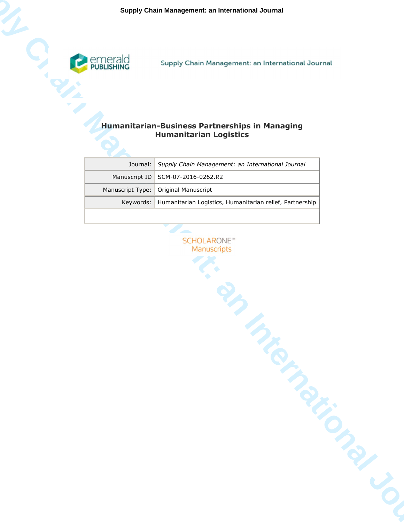

# **Humanitarian-Business Partnerships in Managing Humanitarian Logistics**

|                  | Supply Chain Management: an International Journal                                      |
|------------------|----------------------------------------------------------------------------------------|
|                  | <b>Humanitarian-Business Partnerships in Managing</b><br><b>Humanitarian Logistics</b> |
| Journal:         | Supply Chain Management: an International Journal                                      |
| Manuscript ID    | SCM-07-2016-0262.R2                                                                    |
| Manuscript Type: | Original Manuscript                                                                    |
| Keywords:        | Humanitarian Logistics, Humanitarian relief, Partnership                               |
|                  | <b>TRIMATION DIRECT</b>                                                                |

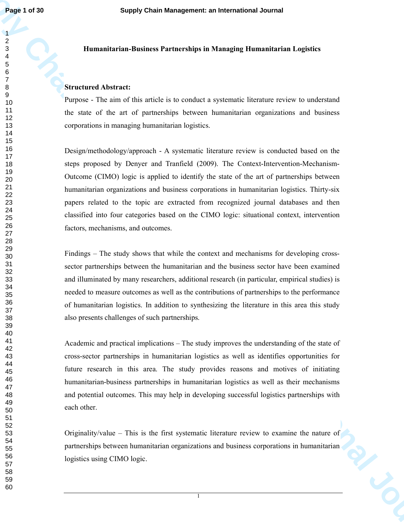### **Humanitarian-Business Partnerships in Managing Humanitarian Logistics**

### **Structured Abstract:**

Purpose - The aim of this article is to conduct a systematic literature review to understand the state of the art of partnerships between humanitarian organizations and business corporations in managing humanitarian logistics.

**Fage 1 of 30**<br> **Supply Chain Management: an International Journal<br>
Supply Chain Management: an International Journal deviate<br>
Supply Chain Management Suppley Humanistan's international depictor<br>
Supply Chain Management Ma** Design/methodology/approach - A systematic literature review is conducted based on the steps proposed by Denyer and Tranfield (2009). The Context-Intervention-Mechanism-Outcome (CIMO) logic is applied to identify the state of the art of partnerships between humanitarian organizations and business corporations in humanitarian logistics. Thirty-six papers related to the topic are extracted from recognized journal databases and then classified into four categories based on the CIMO logic: situational context, intervention factors, mechanisms, and outcomes.

Findings – The study shows that while the context and mechanisms for developing crosssector partnerships between the humanitarian and the business sector have been examined and illuminated by many researchers, additional research (in particular, empirical studies) is needed to measure outcomes as well as the contributions of partnerships to the performance of humanitarian logistics. In addition to synthesizing the literature in this area this study also presents challenges of such partnerships.

Academic and practical implications – The study improves the understanding of the state of cross-sector partnerships in humanitarian logistics as well as identifies opportunities for future research in this area. The study provides reasons and motives of initiating humanitarian-business partnerships in humanitarian logistics as well as their mechanisms and potential outcomes. This may help in developing successful logistics partnerships with each other.

Originality/value – This is the first systematic literature review to examine the nature of partnerships between humanitarian organizations and business corporations in humanitarian logistics using CIMO logic.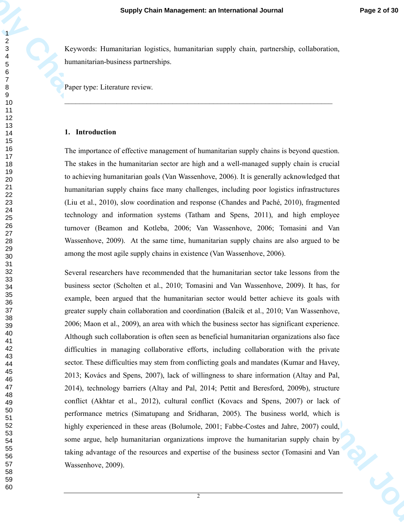Keywords: Humanitarian logistics, humanitarian supply chain, partnership, collaboration, humanitarian-business partnerships.

 $\_$  , and the set of the set of the set of the set of the set of the set of the set of the set of the set of the set of the set of the set of the set of the set of the set of the set of the set of the set of the set of th

Paper type: Literature review.

#### **1. Introduction**

The importance of effective management of humanitarian supply chains is beyond question. The stakes in the humanitarian sector are high and a well-managed supply chain is crucial to achieving humanitarian goals (Van Wassenhove, 2006). It is generally acknowledged that humanitarian supply chains face many challenges, including poor logistics infrastructures (Liu et al., 2010), slow coordination and response (Chandes and Paché, 2010), fragmented technology and information systems (Tatham and Spens, 2011), and high employee turnover (Beamon and Kotleba, 2006; Van Wassenhove, 2006; Tomasini and Van Wassenhove, 2009). At the same time, humanitarian supply chains are also argued to be among the most agile supply chains in existence (Van Wassenhove, 2006).

**Supply Chain Management: an International Journal Properties (and the management: and international Journal Properties)**<br> **Supply Chain Management:**  $\frac{1}{2}$  Chain Management of the management of the management of the ma Several researchers have recommended that the humanitarian sector take lessons from the business sector (Scholten et al., 2010; Tomasini and Van Wassenhove, 2009). It has, for example, been argued that the humanitarian sector would better achieve its goals with greater supply chain collaboration and coordination (Balcik et al., 2010; Van Wassenhove, 2006; Maon et al., 2009), an area with which the business sector has significant experience. Although such collaboration is often seen as beneficial humanitarian organizations also face difficulties in managing collaborative efforts, including collaboration with the private sector. These difficulties may stem from conflicting goals and mandates (Kumar and Havey, 2013; Kovács and Spens, 2007), lack of willingness to share information (Altay and Pal, 2014), technology barriers (Altay and Pal, 2014; Pettit and Beresford, 2009b), structure conflict (Akhtar et al., 2012), cultural conflict (Kovacs and Spens, 2007) or lack of performance metrics (Simatupang and Sridharan, 2005). The business world, which is highly experienced in these areas (Bolumole, 2001; Fabbe-Costes and Jahre, 2007) could, some argue, help humanitarian organizations improve the humanitarian supply chain by taking advantage of the resources and expertise of the business sector (Tomasini and Van Wassenhove, 2009).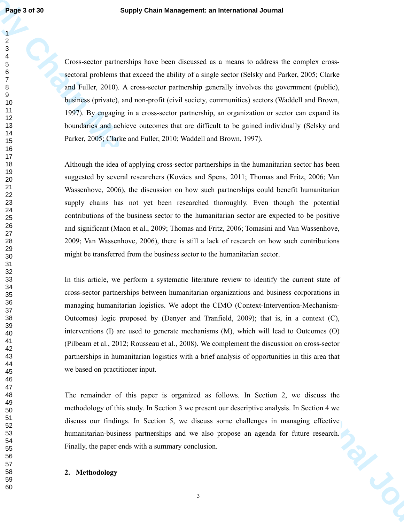Cross-sector partnerships have been discussed as a means to address the complex crosssectoral problems that exceed the ability of a single sector (Selsky and Parker, 2005; Clarke and Fuller, 2010). A cross-sector partnership generally involves the government (public), business (private), and non-profit (civil society, communities) sectors (Waddell and Brown, 1997). By engaging in a cross-sector partnership, an organization or sector can expand its boundaries and achieve outcomes that are difficult to be gained individually (Selsky and Parker, 2005; Clarke and Fuller, 2010; Waddell and Brown, 1997).

**Fage 1618**<br> **Supply Chain Management: an International Journal<br>
2<br>
Crain-technical probability control in a manus to achieve the encodes once<br>
2<br>
<b>Supply Chain Management in the supply of a manus to achieve the encodes on** Although the idea of applying cross-sector partnerships in the humanitarian sector has been suggested by several researchers (Kovács and Spens, 2011; Thomas and Fritz, 2006; Van Wassenhove, 2006), the discussion on how such partnerships could benefit humanitarian supply chains has not yet been researched thoroughly. Even though the potential contributions of the business sector to the humanitarian sector are expected to be positive and significant (Maon et al., 2009; Thomas and Fritz, 2006; Tomasini and Van Wassenhove, 2009; Van Wassenhove, 2006), there is still a lack of research on how such contributions might be transferred from the business sector to the humanitarian sector.

In this article, we perform a systematic literature review to identify the current state of cross-sector partnerships between humanitarian organizations and business corporations in managing humanitarian logistics. We adopt the CIMO (Context-Intervention-Mechanism-Outcomes) logic proposed by (Denyer and Tranfield, 2009); that is, in a context (C), interventions (I) are used to generate mechanisms (M), which will lead to Outcomes (O) (Pilbeam et al., 2012; Rousseau et al., 2008). We complement the discussion on cross-sector partnerships in humanitarian logistics with a brief analysis of opportunities in this area that we based on practitioner input.

The remainder of this paper is organized as follows. In Section 2, we discuss the methodology of this study. In Section 3 we present our descriptive analysis. In Section 4 we discuss our findings. In Section 5, we discuss some challenges in managing effective humanitarian-business partnerships and we also propose an agenda for future research. Finally, the paper ends with a summary conclusion.

### **2. Methodology**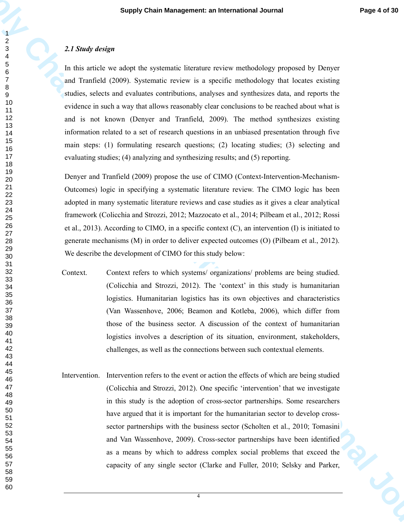#### *2.1 Study design*

In this article we adopt the systematic literature review methodology proposed by Denyer and Tranfield (2009). Systematic review is a specific methodology that locates existing studies, selects and evaluates contributions, analyses and synthesizes data, and reports the evidence in such a way that allows reasonably clear conclusions to be reached about what is and is not known (Denyer and Tranfield, 2009). The method synthesizes existing information related to a set of research questions in an unbiased presentation through five main steps: (1) formulating research questions; (2) locating studies; (3) selecting and evaluating studies; (4) analyzing and synthesizing results; and (5) reporting.

Denyer and Tranfield (2009) propose the use of CIMO (Context-Intervention-Mechanism-Outcomes) logic in specifying a systematic literature review. The CIMO logic has been adopted in many systematic literature reviews and case studies as it gives a clear analytical framework (Colicchia and Strozzi, 2012; Mazzocato et al., 2014; Pilbeam et al., 2012; Rossi et al., 2013). According to CIMO, in a specific context (C), an intervention (I) is initiated to generate mechanisms (M) in order to deliver expected outcomes (O) (Pilbeam et al., 2012). We describe the development of CIMO for this study below:

- Context. Context refers to which systems/ organizations/ problems are being studied. (Colicchia and Strozzi, 2012). The 'context' in this study is humanitarian logistics. Humanitarian logistics has its own objectives and characteristics (Van Wassenhove, 2006; Beamon and Kotleba, 2006), which differ from those of the business sector. A discussion of the context of humanitarian logistics involves a description of its situation, environment, stakeholders, challenges, as well as the connections between such contextual elements.
- **Supply Chain Management: an International Journal Page 4 of 20**<br>
2.1 Sundy design<br>
2.1 Sundy design<br>
2.1 Sundy design<br>
2.1 Sundy design<br>
2.1 Sundy design<br>
2.1 Sundy design<br>
2.1 The Trial Chain Courts (Sundy Chain Chain Ch Intervention. Intervention refers to the event or action the effects of which are being studied (Colicchia and Strozzi, 2012). One specific 'intervention' that we investigate in this study is the adoption of cross-sector partnerships. Some researchers have argued that it is important for the humanitarian sector to develop crosssector partnerships with the business sector (Scholten et al., 2010; Tomasini and Van Wassenhove, 2009). Cross-sector partnerships have been identified as a means by which to address complex social problems that exceed the capacity of any single sector (Clarke and Fuller, 2010; Selsky and Parker,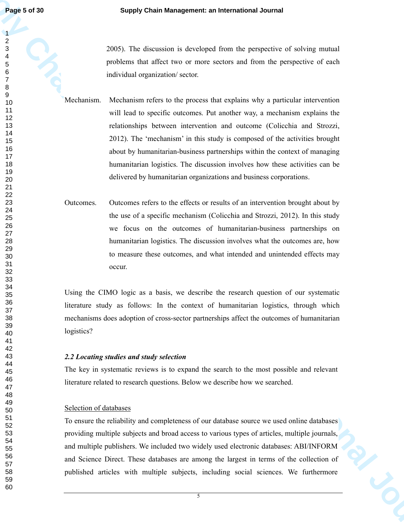2005). The discussion is developed from the perspective of solving mutual problems that affect two or more sectors and from the perspective of each individual organization/ sector.

**Fage 5 of 30**<br> **Supply Chain Management: an International Journal<br>
2 of 4<br>
2 of 4 of the distribution is developed from the prespective of solving restural<br>
2 of 5<br>
2 of the distribution restors and the management: and t** Mechanism. Mechanism refers to the process that explains why a particular intervention will lead to specific outcomes. Put another way, a mechanism explains the relationships between intervention and outcome (Colicchia and Strozzi, 2012). The 'mechanism' in this study is composed of the activities brought about by humanitarian-business partnerships within the context of managing humanitarian logistics. The discussion involves how these activities can be delivered by humanitarian organizations and business corporations.

Outcomes. Outcomes refers to the effects or results of an intervention brought about by the use of a specific mechanism (Colicchia and Strozzi, 2012). In this study we focus on the outcomes of humanitarian-business partnerships on humanitarian logistics. The discussion involves what the outcomes are, how to measure these outcomes, and what intended and unintended effects may occur.

Using the CIMO logic as a basis, we describe the research question of our systematic literature study as follows: In the context of humanitarian logistics, through which mechanisms does adoption of cross-sector partnerships affect the outcomes of humanitarian logistics?

## *2.2 Locating studies and study selection*

The key in systematic reviews is to expand the search to the most possible and relevant literature related to research questions. Below we describe how we searched.

## Selection of databases

To ensure the reliability and completeness of our database source we used online databases providing multiple subjects and broad access to various types of articles, multiple journals, and multiple publishers. We included two widely used electronic databases: ABI/INFORM and Science Direct. These databases are among the largest in terms of the collection of published articles with multiple subjects, including social sciences. We furthermore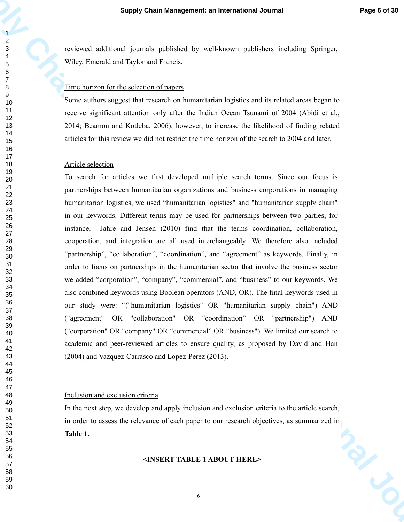reviewed additional journals published by well-known publishers including Springer, Wiley, Emerald and Taylor and Francis.

### Time horizon for the selection of papers

Some authors suggest that research on humanitarian logistics and its related areas began to receive significant attention only after the Indian Ocean Tsunami of 2004 (Abidi et al., 2014; Beamon and Kotleba, 2006); however, to increase the likelihood of finding related articles for this review we did not restrict the time horizon of the search to 2004 and later.

### Article selection

**Supply Chain Management: an International Journal Page 6 et 30<br>**  $\frac{2}{5}$ **<br>
The metrical stational is unitable to profile of type sett-becomes publishers including Spacings.<br>
The largest and its space of constraints in the** To search for articles we first developed multiple search terms. Since our focus is partnerships between humanitarian organizations and business corporations in managing humanitarian logistics, we used "humanitarian logistics" and "humanitarian supply chain" in our keywords. Different terms may be used for partnerships between two parties; for instance, Jahre and Jensen (2010) find that the terms coordination, collaboration, cooperation, and integration are all used interchangeably. We therefore also included "partnership", "collaboration", "coordination", and "agreement" as keywords. Finally, in order to focus on partnerships in the humanitarian sector that involve the business sector we added "corporation", "company", "commercial", and "business" to our keywords. We also combined keywords using Boolean operators (AND, OR). The final keywords used in our study were: "("humanitarian logistics" OR "humanitarian supply chain") AND ("agreement" OR "collaboration" OR "coordination" OR "partnership") AND ("corporation" OR "company" OR "commercial" OR "business"). We limited our search to academic and peer-reviewed articles to ensure quality, as proposed by David and Han (2004) and Vazquez-Carrasco and Lopez-Perez (2013).

### Inclusion and exclusion criteria

In the next step, we develop and apply inclusion and exclusion criteria to the article search, in order to assess the relevance of each paper to our research objectives, as summarized in **Table 1.** 

#### **<INSERT TABLE 1 ABOUT HERE>**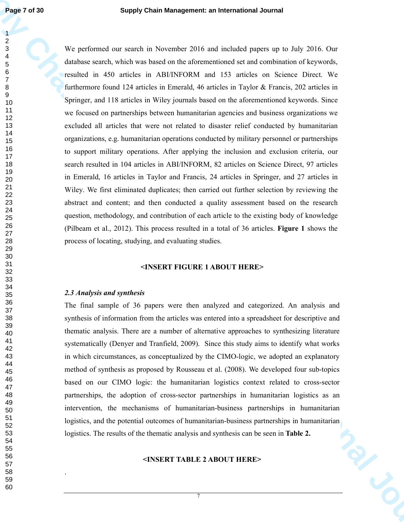**Supply Chain Management: an International Journal Conservation of the system of the system of the system of the system of the system of the system of the system of the system of the system of the system of the system of t** We performed our search in November 2016 and included papers up to July 2016. Our database search, which was based on the aforementioned set and combination of keywords, resulted in 450 articles in ABI/INFORM and 153 articles on Science Direct. We furthermore found 124 articles in Emerald, 46 articles in Taylor & Francis, 202 articles in Springer, and 118 articles in Wiley journals based on the aforementioned keywords. Since we focused on partnerships between humanitarian agencies and business organizations we excluded all articles that were not related to disaster relief conducted by humanitarian organizations, e.g. humanitarian operations conducted by military personnel or partnerships to support military operations. After applying the inclusion and exclusion criteria, our search resulted in 104 articles in ABI/INFORM, 82 articles on Science Direct, 97 articles in Emerald, 16 articles in Taylor and Francis, 24 articles in Springer, and 27 articles in Wiley. We first eliminated duplicates; then carried out further selection by reviewing the abstract and content; and then conducted a quality assessment based on the research question, methodology, and contribution of each article to the existing body of knowledge (Pilbeam et al., 2012). This process resulted in a total of 36 articles. **Figure 1** shows the process of locating, studying, and evaluating studies.

#### **<INSERT FIGURE 1 ABOUT HERE>**

#### *2.3 Analysis and synthesis*

.

The final sample of 36 papers were then analyzed and categorized. An analysis and synthesis of information from the articles was entered into a spreadsheet for descriptive and thematic analysis. There are a number of alternative approaches to synthesizing literature systematically (Denyer and Tranfield, 2009). Since this study aims to identify what works in which circumstances, as conceptualized by the CIMO-logic, we adopted an explanatory method of synthesis as proposed by Rousseau et al. (2008). We developed four sub-topics based on our CIMO logic: the humanitarian logistics context related to cross-sector partnerships, the adoption of cross-sector partnerships in humanitarian logistics as an intervention, the mechanisms of humanitarian-business partnerships in humanitarian logistics, and the potential outcomes of humanitarian-business partnerships in humanitarian logistics. The results of the thematic analysis and synthesis can be seen in **Table 2.**

#### **<INSERT TABLE 2 ABOUT HERE>**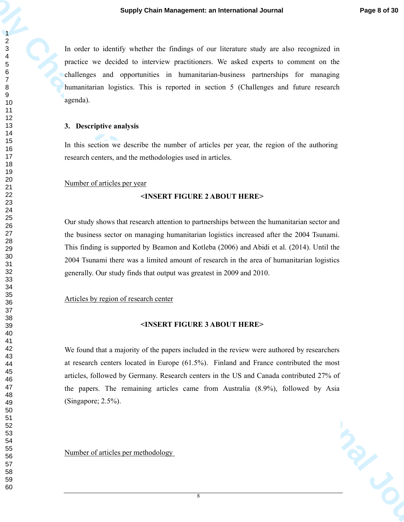In order to identify whether the findings of our literature study are also recognized in practice we decided to interview practitioners. We asked experts to comment on the challenges and opportunities in humanitarian-business partnerships for managing humanitarian logistics. This is reported in section 5 (Challenges and future research agenda).

#### **3. Descriptive analysis**

In this section we describe the number of articles per year, the region of the authoring research centers, and the methodologies used in articles.

### Number of articles per year

### **<INSERT FIGURE 2 ABOUT HERE>**

Our study shows that research attention to partnerships between the humanitarian sector and the business sector on managing humanitarian logistics increased after the 2004 Tsunami. This finding is supported by Beamon and Kotleba (2006) and Abidi et al. (2014). Until the 2004 Tsunami there was a limited amount of research in the area of humanitarian logistics generally. Our study finds that output was greatest in 2009 and 2010.

### Articles by region of research center

#### **<INSERT FIGURE 3 ABOUT HERE>**

**Supply Chain Management: an International Journal Page 8 of 20**<br> **Supply Chain Management: an International Journal of the Conservation of the Conservation of the Conservation of the Conservation of the Conservation of th** We found that a majority of the papers included in the review were authored by researchers at research centers located in Europe (61.5%). Finland and France contributed the most articles, followed by Germany. Research centers in the US and Canada contributed 27% of the papers. The remaining articles came from Australia (8.9%), followed by Asia (Singapore; 2.5%).

Number of articles per methodology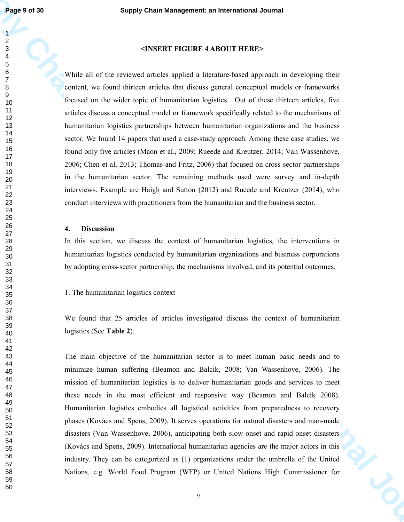#### 

### **<INSERT FIGURE 4 ABOUT HERE>**

**Fage 16 d 30**<br> **Supply Chain Management: an International Journal<br>
<b>S**<br> **Supply Chain Management: an International Journal of the system of the system of the system of the system of the system of the system of the system** While all of the reviewed articles applied a literature-based approach in developing their content, we found thirteen articles that discuss general conceptual models or frameworks focused on the wider topic of humanitarian logistics. Out of these thirteen articles, five articles discuss a conceptual model or framework specifically related to the mechanisms of humanitarian logistics partnerships between humanitarian organizations and the business sector. We found 14 papers that used a case-study approach. Among these case studies, we found only five articles (Maon et al., 2009; Rueede and Kreutzer, 2014; Van Wassenhove, 2006; Chen et al, 2013; Thomas and Fritz, 2006) that focused on cross-sector partnerships in the humanitarian sector. The remaining methods used were survey and in-depth interviews. Example are Haigh and Sutton (2012) and Rueede and Kreutzer (2014), who conduct interviews with practitioners from the humanitarian and the business sector.

### **4. Discussion**

In this section, we discuss the context of humanitarian logistics, the interventions in humanitarian logistics conducted by humanitarian organizations and business corporations by adopting cross-sector partnership, the mechanisms involved, and its potential outcomes.

#### 1. The humanitarian logistics context

We found that 25 articles of articles investigated discuss the context of humanitarian logistics (See **Table 2**).

The main objective of the humanitarian sector is to meet human basic needs and to minimize human suffering (Beamon and Balcik, 2008; Van Wassenhove, 2006). The mission of humanitarian logistics is to deliver humanitarian goods and services to meet these needs in the most efficient and responsive way (Beamon and Balcik 2008). Humanitarian logistics embodies all logistical activities from preparedness to recovery phases (Kovács and Spens, 2009). It serves operations for natural disasters and man-made disasters (Van Wassenhove, 2006), anticipating both slow-onset and rapid-onset disasters (Kovács and Spens, 2009). International humanitarian agencies are the major actors in this industry. They can be categorized as (1) organizations under the umbrella of the United Nations, e.g. World Food Program (WFP) or United Nations High Commissioner for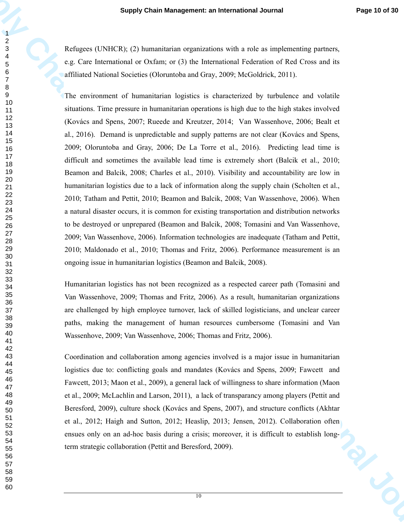Refugees (UNHCR); (2) humanitarian organizations with a role as implementing partners, e.g. Care International or Oxfam; or (3) the International Federation of Red Cross and its affiliated National Societies (Oloruntoba and Gray, 2009; McGoldrick, 2011).

**Supply Chain Management: an International Journal Properties**<br> **Supply Chain Management: an International Journal Properties (where the stress of the stress of the stress of the stress of the stress of the stress of the s** The environment of humanitarian logistics is characterized by turbulence and volatile situations. Time pressure in humanitarian operations is high due to the high stakes involved (Kovács and Spens, 2007; Rueede and Kreutzer, 2014; Van Wassenhove, 2006; Bealt et al., 2016). Demand is unpredictable and supply patterns are not clear (Kovács and Spens, 2009; Oloruntoba and Gray, 2006; De La Torre et al., 2016). Predicting lead time is difficult and sometimes the available lead time is extremely short (Balcik et al., 2010; Beamon and Balcik, 2008; Charles et al., 2010). Visibility and accountability are low in humanitarian logistics due to a lack of information along the supply chain (Scholten et al., 2010; Tatham and Pettit, 2010; Beamon and Balcik, 2008; Van Wassenhove, 2006). When a natural disaster occurs, it is common for existing transportation and distribution networks to be destroyed or unprepared (Beamon and Balcik, 2008; Tomasini and Van Wassenhove, 2009; Van Wassenhove, 2006). Information technologies are inadequate (Tatham and Pettit, 2010; Maldonado et al., 2010; Thomas and Fritz, 2006). Performance measurement is an ongoing issue in humanitarian logistics (Beamon and Balcik, 2008).

Humanitarian logistics has not been recognized as a respected career path (Tomasini and Van Wassenhove, 2009; Thomas and Fritz, 2006). As a result, humanitarian organizations are challenged by high employee turnover, lack of skilled logisticians, and unclear career paths, making the management of human resources cumbersome (Tomasini and Van Wassenhove, 2009; Van Wassenhove, 2006; Thomas and Fritz, 2006).

Coordination and collaboration among agencies involved is a major issue in humanitarian logistics due to: conflicting goals and mandates (Kovács and Spens, 2009; Fawcett and Fawcett, 2013; Maon et al., 2009), a general lack of willingness to share information (Maon et al., 2009; McLachlin and Larson, 2011), a lack of transparancy among players (Pettit and Beresford, 2009), culture shock (Kovács and Spens, 2007), and structure conflicts (Akhtar et al., 2012; Haigh and Sutton, 2012; Heaslip, 2013; Jensen, 2012). Collaboration often ensues only on an ad-hoc basis during a crisis; moreover, it is difficult to establish longterm strategic collaboration (Pettit and Beresford, 2009).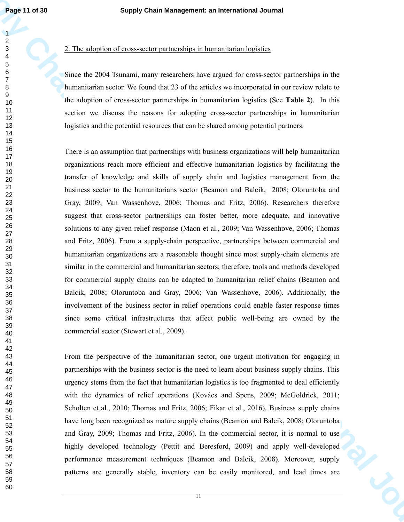## 2. The adoption of cross-sector partnerships in humanitarian logistics

Since the 2004 Tsunami, many researchers have argued for cross-sector partnerships in the humanitarian sector. We found that 23 of the articles we incorporated in our review relate to the adoption of cross-sector partnerships in humanitarian logistics (See **Table 2**). In this section we discuss the reasons for adopting cross-sector partnerships in humanitarian logistics and the potential resources that can be shared among potential partners.

**Fage 11 of 30**<br>**Supply Chain Management: an International Journal<br>
2<br>
A Librardship of Archives and a medicinal content and the supple of the state set of probability in the benefiction and the state of the state set of p** There is an assumption that partnerships with business organizations will help humanitarian organizations reach more efficient and effective humanitarian logistics by facilitating the transfer of knowledge and skills of supply chain and logistics management from the business sector to the humanitarians sector (Beamon and Balcik, 2008; Oloruntoba and Gray, 2009; Van Wassenhove, 2006; Thomas and Fritz, 2006). Researchers therefore suggest that cross-sector partnerships can foster better, more adequate, and innovative solutions to any given relief response (Maon et al., 2009; Van Wassenhove, 2006; Thomas and Fritz, 2006). From a supply-chain perspective, partnerships between commercial and humanitarian organizations are a reasonable thought since most supply-chain elements are similar in the commercial and humanitarian sectors; therefore, tools and methods developed for commercial supply chains can be adapted to humanitarian relief chains (Beamon and Balcik, 2008; Oloruntoba and Gray, 2006; Van Wassenhove, 2006). Additionally, the involvement of the business sector in relief operations could enable faster response times since some critical infrastructures that affect public well-being are owned by the commercial sector (Stewart et al., 2009).

From the perspective of the humanitarian sector, one urgent motivation for engaging in partnerships with the business sector is the need to learn about business supply chains. This urgency stems from the fact that humanitarian logistics is too fragmented to deal efficiently with the dynamics of relief operations (Kovács and Spens, 2009; McGoldrick, 2011; Scholten et al., 2010; Thomas and Fritz, 2006; Fikar et al., 2016). Business supply chains have long been recognized as mature supply chains (Beamon and Balcik, 2008; Oloruntoba and Gray, 2009; Thomas and Fritz, 2006). In the commercial sector, it is normal to use highly developed technology (Pettit and Beresford, 2009) and apply well-developed performance measurement techniques (Beamon and Balcik, 2008). Moreover, supply patterns are generally stable, inventory can be easily monitored, and lead times are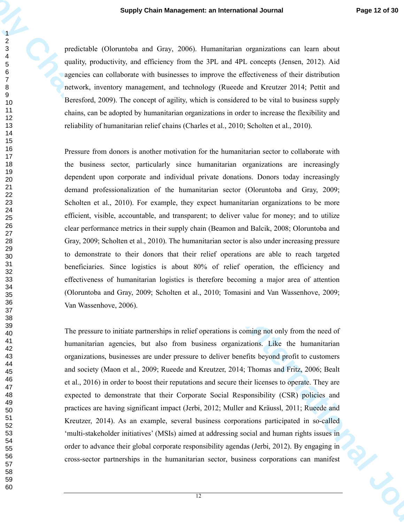predictable (Oloruntoba and Gray, 2006). Humanitarian organizations can learn about quality, productivity, and efficiency from the 3PL and 4PL concepts (Jensen, 2012). Aid agencies can collaborate with businesses to improve the effectiveness of their distribution network, inventory management, and technology (Rueede and Kreutzer 2014; Pettit and Beresford, 2009). The concept of agility, which is considered to be vital to business supply chains, can be adopted by humanitarian organizations in order to increase the flexibility and reliability of humanitarian relief chains (Charles et al., 2010; Scholten et al., 2010).

**Supply Chain Management: an International Journal Page 12 of 26 or 26 or 26 or 26 or 26 or 26 or 26 or 26 or 26 or 26 or 26 or 26 or 26 or 26 or 26 or 26 or 26 or 26 or 26 or 26 or 26 or 26 or 26 or 26 or 26 or 26 or 26 o** Pressure from donors is another motivation for the humanitarian sector to collaborate with the business sector, particularly since humanitarian organizations are increasingly dependent upon corporate and individual private donations. Donors today increasingly demand professionalization of the humanitarian sector (Oloruntoba and Gray, 2009; Scholten et al., 2010). For example, they expect humanitarian organizations to be more efficient, visible, accountable, and transparent; to deliver value for money; and to utilize clear performance metrics in their supply chain (Beamon and Balcik, 2008; Oloruntoba and Gray, 2009; Scholten et al., 2010). The humanitarian sector is also under increasing pressure to demonstrate to their donors that their relief operations are able to reach targeted beneficiaries. Since logistics is about 80% of relief operation, the efficiency and effectiveness of humanitarian logistics is therefore becoming a major area of attention (Oloruntoba and Gray, 2009; Scholten et al., 2010; Tomasini and Van Wassenhove, 2009; Van Wassenhove, 2006).

The pressure to initiate partnerships in relief operations is coming not only from the need of humanitarian agencies, but also from business organizations. Like the humanitarian organizations, businesses are under pressure to deliver benefits beyond profit to customers and society (Maon et al., 2009; Rueede and Kreutzer, 2014; Thomas and Fritz, 2006; Bealt et al., 2016) in order to boost their reputations and secure their licenses to operate. They are expected to demonstrate that their Corporate Social Responsibility (CSR) policies and practices are having significant impact (Jerbi, 2012; Muller and Kräussl, 2011; Rueede and Kreutzer, 2014). As an example, several business corporations participated in so-called 'multi-stakeholder initiatives' (MSIs) aimed at addressing social and human rights issues in order to advance their global corporate responsibility agendas (Jerbi, 2012). By engaging in cross-sector partnerships in the humanitarian sector, business corporations can manifest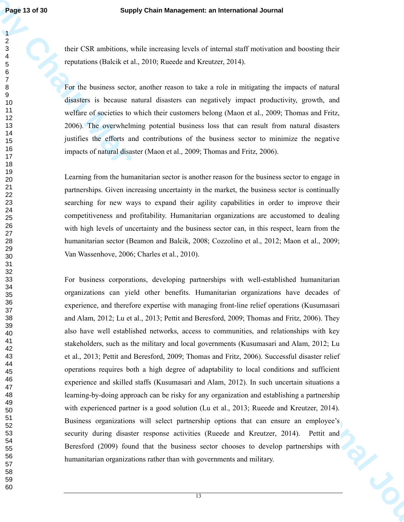their CSR ambitions, while increasing levels of internal staff motivation and boosting their reputations (Balcik et al., 2010; Rueede and Kreutzer, 2014).

For the business sector, another reason to take a role in mitigating the impacts of natural disasters is because natural disasters can negatively impact productivity, growth, and welfare of societies to which their customers belong (Maon et al., 2009; Thomas and Fritz, 2006). The overwhelming potential business loss that can result from natural disasters justifies the efforts and contributions of the business sector to minimize the negative impacts of natural disaster (Maon et al., 2009; Thomas and Fritz, 2006).

Learning from the humanitarian sector is another reason for the business sector to engage in partnerships. Given increasing uncertainty in the market, the business sector is continually searching for new ways to expand their agility capabilities in order to improve their competitiveness and profitability. Humanitarian organizations are accustomed to dealing with high levels of uncertainty and the business sector can, in this respect, learn from the humanitarian sector (Beamon and Balcik, 2008; Cozzolino et al., 2012; Maon et al., 2009; Van Wassenhove, 2006; Charles et al., 2010).

**Fage 13 of 30**<br>**Supply Chain Management: an International Journal<br>
Supply Chain Management: an International distributions and baseting their<br>
constraints are consistent and the state of international Journal of<br>
Supply C** For business corporations, developing partnerships with well-established humanitarian organizations can yield other benefits. Humanitarian organizations have decades of experience, and therefore expertise with managing front-line relief operations (Kusumasari and Alam, 2012; Lu et al., 2013; Pettit and Beresford, 2009; Thomas and Fritz, 2006). They also have well established networks, access to communities, and relationships with key stakeholders, such as the military and local governments (Kusumasari and Alam, 2012; Lu et al., 2013; Pettit and Beresford, 2009; Thomas and Fritz, 2006). Successful disaster relief operations requires both a high degree of adaptability to local conditions and sufficient experience and skilled staffs (Kusumasari and Alam, 2012). In such uncertain situations a learning-by-doing approach can be risky for any organization and establishing a partnership with experienced partner is a good solution (Lu et al., 2013; Rueede and Kreutzer, 2014). Business organizations will select partnership options that can ensure an employee's security during disaster response activities (Rueede and Kreutzer, 2014). Pettit and Beresford (2009) found that the business sector chooses to develop partnerships with humanitarian organizations rather than with governments and military.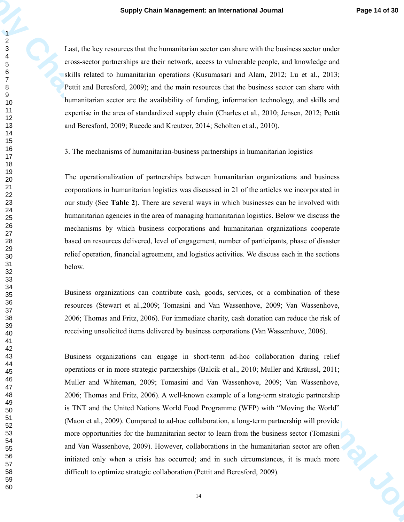Last, the key resources that the humanitarian sector can share with the business sector under cross-sector partnerships are their network, access to vulnerable people, and knowledge and skills related to humanitarian operations (Kusumasari and Alam, 2012; Lu et al., 2013; Pettit and Beresford, 2009); and the main resources that the business sector can share with humanitarian sector are the availability of funding, information technology, and skills and expertise in the area of standardized supply chain (Charles et al., 2010; Jensen, 2012; Pettit and Beresford, 2009; Rueede and Kreutzer, 2014; Scholten et al., 2010).

#### 3. The mechanisms of humanitarian-business partnerships in humanitarian logistics

The operationalization of partnerships between humanitarian organizations and business corporations in humanitarian logistics was discussed in 21 of the articles we incorporated in our study (See **Table 2**). There are several ways in which businesses can be involved with humanitarian agencies in the area of managing humanitarian logistics. Below we discuss the mechanisms by which business corporations and humanitarian organizations cooperate based on resources delivered, level of engagement, number of participants, phase of disaster relief operation, financial agreement, and logistics activities. We discuss each in the sections below.

Business organizations can contribute cash, goods, services, or a combination of these resources (Stewart et al.,2009; Tomasini and Van Wassenhove, 2009; Van Wassenhove, 2006; Thomas and Fritz, 2006). For immediate charity, cash donation can reduce the risk of receiving unsolicited items delivered by business corporations (Van Wassenhove, 2006).

**Supply Chain Management: an International Journal Propriet of State<br>
14 and** *P* **de Very records and the humanitation accretion for orientative location (and** *C***).<br>
The consective particular and the memberistan accretion p** Business organizations can engage in short-term ad-hoc collaboration during relief operations or in more strategic partnerships (Balcik et al., 2010; Muller and Kräussl, 2011; Muller and Whiteman, 2009; Tomasini and Van Wassenhove, 2009; Van Wassenhove, 2006; Thomas and Fritz, 2006). A well-known example of a long-term strategic partnership is TNT and the United Nations World Food Programme (WFP) with "Moving the World" (Maon et al., 2009). Compared to ad-hoc collaboration, a long-term partnership will provide more opportunities for the humanitarian sector to learn from the business sector (Tomasini and Van Wassenhove, 2009). However, collaborations in the humanitarian sector are often initiated only when a crisis has occurred; and in such circumstances, it is much more difficult to optimize strategic collaboration (Pettit and Beresford, 2009).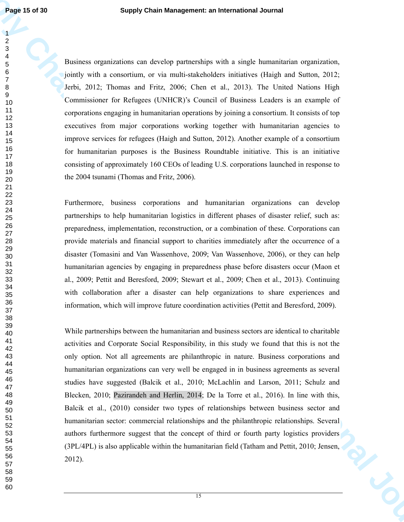Business organizations can develop partnerships with a single humanitarian organization, jointly with a consortium, or via multi-stakeholders initiatives (Haigh and Sutton, 2012; Jerbi, 2012; Thomas and Fritz, 2006; Chen et al., 2013). The United Nations High Commissioner for Refugees (UNHCR)'s Council of Business Leaders is an example of corporations engaging in humanitarian operations by joining a consortium. It consists of top executives from major corporations working together with humanitarian agencies to improve services for refugees (Haigh and Sutton, 2012). Another example of a consortium for humanitarian purposes is the Business Roundtable initiative. This is an initiative consisting of approximately 160 CEOs of leading U.S. corporations launched in response to the 2004 tsunami (Thomas and Fritz, 2006).

Furthermore, business corporations and humanitarian organizations can develop partnerships to help humanitarian logistics in different phases of disaster relief, such as: preparedness, implementation, reconstruction, or a combination of these. Corporations can provide materials and financial support to charities immediately after the occurrence of a disaster (Tomasini and Van Wassenhove, 2009; Van Wassenhove, 2006), or they can help humanitarian agencies by engaging in preparedness phase before disasters occur (Maon et al., 2009; Pettit and Beresford, 2009; Stewart et al., 2009; Chen et al., 2013). Continuing with collaboration after a disaster can help organizations to share experiences and information, which will improve future coordination activities (Pettit and Beresford, 2009).

**Fage 15 of 30**<br>**Supply Chain Management: an International Journal<br>
2<br>
Supply Chain Management: an International Journal International Journal Chain Management<br>
2<br>
Supply Chain Management of the anti-management and interna** While partnerships between the humanitarian and business sectors are identical to charitable activities and Corporate Social Responsibility, in this study we found that this is not the only option. Not all agreements are philanthropic in nature. Business corporations and humanitarian organizations can very well be engaged in in business agreements as several studies have suggested (Balcik et al., 2010; McLachlin and Larson, 2011; Schulz and Blecken, 2010; Pazirandeh and Herlin, 2014; De la Torre et al., 2016). In line with this, Balcik et al., (2010) consider two types of relationships between business sector and humanitarian sector: commercial relationships and the philanthropic relationships. Several authors furthermore suggest that the concept of third or fourth party logistics providers (3PL/4PL) is also applicable within the humanitarian field (Tatham and Pettit, 2010; Jensen, 2012).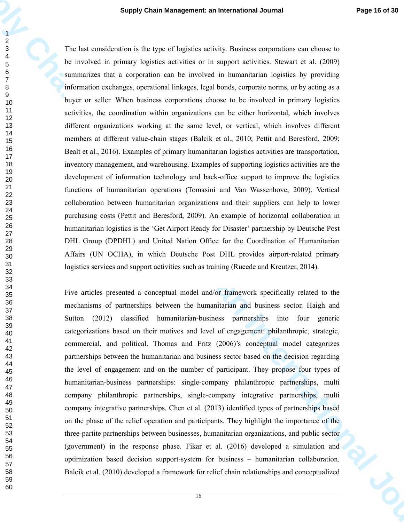**Supply Chain Management: an International Journal Page 16 ed 30<br>
2.4**<br>
The law encoded on primary legates is derived as proposite accounts of the distribution of the state of<br>
the model of the primary legates is derived a The last consideration is the type of logistics activity. Business corporations can choose to be involved in primary logistics activities or in support activities. Stewart et al. (2009) summarizes that a corporation can be involved in humanitarian logistics by providing information exchanges, operational linkages, legal bonds, corporate norms, or by acting as a buyer or seller. When business corporations choose to be involved in primary logistics activities, the coordination within organizations can be either horizontal, which involves different organizations working at the same level, or vertical, which involves different members at different value-chain stages (Balcik et al., 2010; Pettit and Beresford, 2009; Bealt et al., 2016). Examples of primary humanitarian logistics activities are transportation, inventory management, and warehousing. Examples of supporting logistics activities are the development of information technology and back-office support to improve the logistics functions of humanitarian operations (Tomasini and Van Wassenhove, 2009). Vertical collaboration between humanitarian organizations and their suppliers can help to lower purchasing costs (Pettit and Beresford, 2009). An example of horizontal collaboration in humanitarian logistics is the 'Get Airport Ready for Disaster' partnership by Deutsche Post DHL Group (DPDHL) and United Nation Office for the Coordination of Humanitarian Affairs (UN OCHA), in which Deutsche Post DHL provides airport-related primary logistics services and support activities such as training (Rueede and Kreutzer, 2014).

Five articles presented a conceptual model and/or framework specifically related to the mechanisms of partnerships between the humanitarian and business sector. Haigh and Sutton (2012) classified humanitarian-business partnerships into four generic categorizations based on their motives and level of engagement: philanthropic, strategic, commercial, and political. Thomas and Fritz (2006)'s conceptual model categorizes partnerships between the humanitarian and business sector based on the decision regarding the level of engagement and on the number of participant. They propose four types of humanitarian-business partnerships: single-company philanthropic partnerships, multi company philanthropic partnerships, single-company integrative partnerships, multi company integrative partnerships. Chen et al. (2013) identified types of partnerships based on the phase of the relief operation and participants. They highlight the importance of the three-partite partnerships between businesses, humanitarian organizations, and public sector (government) in the response phase. Fikar et al. (2016) developed a simulation and optimization based decision support-system for business – humanitarian collaboration. Balcik et al. (2010) developed a framework for relief chain relationships and conceptualized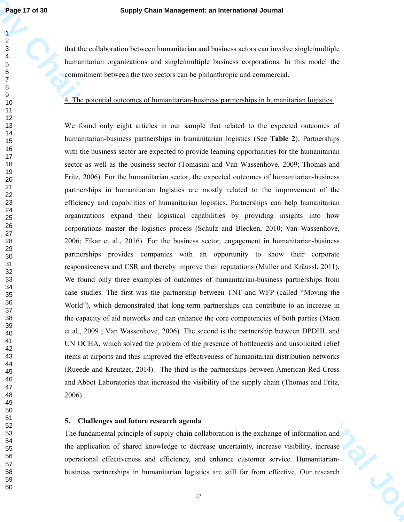that the collaboration between humanitarian and business actors can involve single/multiple humanitarian organizations and single/multiple business corporations. In this model the commitment between the two sectors can be philanthropic and commercial.

## 4. The potential outcomes of humanitarian-business partnerships in humanitarian logistics

**Fage 17 of 180**<br>**Supply Chain Management: an International Journal<br>
1<br>
Supply Chain Management: an International Action international Supplements<br>
1<br>
Supply Chain Management: an international Action international Suppleme** We found only eight articles in our sample that related to the expected outcomes of humanitarian-business partnerships in humanitarian logistics (See **Table 2**). Partnerships with the business sector are expected to provide learning opportunities for the humanitarian sector as well as the business sector (Tomasini and Van Wassenhove, 2009; Thomas and Fritz, 2006). For the humanitarian sector, the expected outcomes of humanitarian-business partnerships in humanitarian logistics are mostly related to the improvement of the efficiency and capabilities of humanitarian logistics. Partnerships can help humanitarian organizations expand their logistical capabilities by providing insights into how corporations master the logistics process (Schulz and Blecken, 2010; Van Wassenhove, 2006; Fikar et al., 2016). For the business sector, engagement in humanitarian-business partnerships provides companies with an opportunity to show their corporate responsiveness and CSR and thereby improve their reputations (Muller and Kräussl, 2011). We found only three examples of outcomes of humanitarian-business partnerships from case studies. The first was the partnership between TNT and WFP (called "Moving the World"), which demonstrated that long-term partnerships can contribute to an increase in the capacity of aid networks and can enhance the core competencies of both parties (Maon et al., 2009 ; Van Wassenhove, 2006). The second is the partnership between DPDHL and UN OCHA, which solved the problem of the presence of bottlenecks and unsolicited relief items at airports and thus improved the effectiveness of humanitarian distribution networks (Rueede and Kreutzer, 2014). The third is the partnerships between American Red Cross and Abbot Laboratories that increased the visibility of the supply chain (Thomas and Fritz, 2006)

## **5. Challenges and future research agenda**

The fundamental principle of supply-chain collaboration is the exchange of information and the application of shared knowledge to decrease uncertainty, increase visibility, increase operational effectiveness and efficiency, and enhance customer service. Humanitarianbusiness partnerships in humanitarian logistics are still far from effective. Our research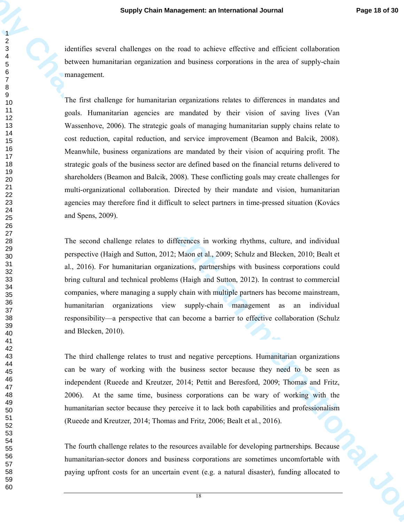identifies several challenges on the road to achieve effective and efficient collaboration between humanitarian organization and business corporations in the area of supply-chain management.

**Supply Chain Management: an International Journal Progre 48 of 30<br>
Supply Chain Management: an International International Chain Chain Chain Chain Chain Chain Chain Chain Chain Chain Chain Chain Chain Chain Chain Chain Ch** The first challenge for humanitarian organizations relates to differences in mandates and goals. Humanitarian agencies are mandated by their vision of saving lives (Van Wassenhove, 2006). The strategic goals of managing humanitarian supply chains relate to cost reduction, capital reduction, and service improvement (Beamon and Balcik, 2008). Meanwhile, business organizations are mandated by their vision of acquiring profit. The strategic goals of the business sector are defined based on the financial returns delivered to shareholders (Beamon and Balcik, 2008). These conflicting goals may create challenges for multi-organizational collaboration. Directed by their mandate and vision, humanitarian agencies may therefore find it difficult to select partners in time-pressed situation (Kovács and Spens, 2009).

The second challenge relates to differences in working rhythms, culture, and individual perspective (Haigh and Sutton, 2012; Maon et al., 2009; Schulz and Blecken, 2010; Bealt et al., 2016). For humanitarian organizations, partnerships with business corporations could bring cultural and technical problems (Haigh and Sutton, 2012). In contrast to commercial companies, where managing a supply chain with multiple partners has become mainstream, humanitarian organizations view supply-chain management as an individual responsibility—a perspective that can become a barrier to effective collaboration (Schulz and Blecken, 2010).

The third challenge relates to trust and negative perceptions. Humanitarian organizations can be wary of working with the business sector because they need to be seen as independent (Rueede and Kreutzer, 2014; Pettit and Beresford, 2009; Thomas and Fritz, 2006). At the same time, business corporations can be wary of working with the humanitarian sector because they perceive it to lack both capabilities and professionalism (Rueede and Kreutzer, 2014; Thomas and Fritz, 2006; Bealt et al., 2016).

The fourth challenge relates to the resources available for developing partnerships. Because humanitarian-sector donors and business corporations are sometimes uncomfortable with paying upfront costs for an uncertain event (e.g. a natural disaster), funding allocated to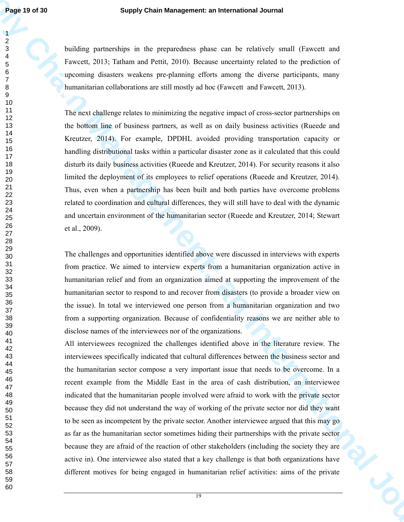building partnerships in the preparedness phase can be relatively small (Fawcett and Fawcett, 2013; Tatham and Pettit, 2010). Because uncertainty related to the prediction of upcoming disasters weakens pre-planning efforts among the diverse participants, many humanitarian collaborations are still mostly ad hoc (Fawcett and Fawcett, 2013).

The next challenge relates to minimizing the negative impact of cross-sector partnerships on the bottom line of business partners, as well as on daily business activities (Rueede and Kreutzer, 2014). For example, DPDHL avoided providing transportation capacity or handling distributional tasks within a particular disaster zone as it calculated that this could disturb its daily business activities (Rueede and Kreutzer, 2014). For security reasons it also limited the deployment of its employees to relief operations (Rueede and Kreutzer, 2014). Thus, even when a partnership has been built and both parties have overcome problems related to coordination and cultural differences, they will still have to deal with the dynamic and uncertain environment of the humanitarian sector (Rueede and Kreutzer, 2014; Stewart et al., 2009).

The challenges and opportunities identified above were discussed in interviews with experts from practice. We aimed to interview experts from a humanitarian organization active in humanitarian relief and from an organization aimed at supporting the improvement of the humanitarian sector to respond to and recover from disasters (to provide a broader view on the issue). In total we interviewed one person from a humanitarian organization and two from a supporting organization. Because of confidentiality reasons we are neither able to disclose names of the interviewees nor of the organizations.

**Fage 13 of 30**<br>**Supply Chain Management: an International Journal<br>
2<br>
Supply Chain and Petra, 2011). Hence an International Supply Chain and Fage 13 of the state of the state of the state of the state of the state of the** All interviewees recognized the challenges identified above in the literature review. The interviewees specifically indicated that cultural differences between the business sector and the humanitarian sector compose a very important issue that needs to be overcome. In a recent example from the Middle East in the area of cash distribution, an interviewee indicated that the humanitarian people involved were afraid to work with the private sector because they did not understand the way of working of the private sector nor did they want to be seen as incompetent by the private sector. Another interviewee argued that this may go as far as the humanitarian sector sometimes hiding their partnerships with the private sector because they are afraid of the reaction of other stakeholders (including the society they are active in). One interviewee also stated that a key challenge is that both organizations have different motives for being engaged in humanitarian relief activities: aims of the private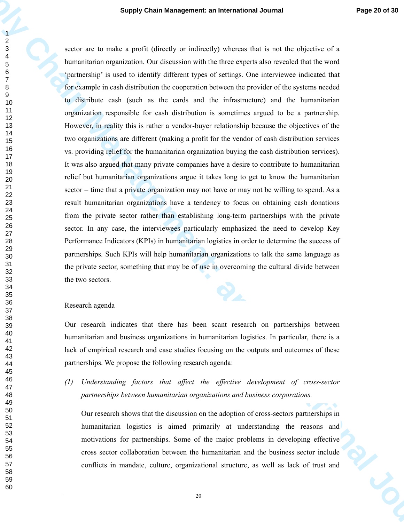**Supply Chain Management: an International Journal Progress of a state of the state of the state of the state of the state of the state of the state of the state of the state of the state of the state of the state of the s** sector are to make a profit (directly or indirectly) whereas that is not the objective of a humanitarian organization. Our discussion with the three experts also revealed that the word 'partnership' is used to identify different types of settings. One interviewee indicated that for example in cash distribution the cooperation between the provider of the systems needed to distribute cash (such as the cards and the infrastructure) and the humanitarian organization responsible for cash distribution is sometimes argued to be a partnership. However, in reality this is rather a vendor-buyer relationship because the objectives of the two organizations are different (making a profit for the vendor of cash distribution services vs. providing relief for the humanitarian organization buying the cash distribution services). It was also argued that many private companies have a desire to contribute to humanitarian relief but humanitarian organizations argue it takes long to get to know the humanitarian sector – time that a private organization may not have or may not be willing to spend. As a result humanitarian organizations have a tendency to focus on obtaining cash donations from the private sector rather than establishing long-term partnerships with the private sector. In any case, the interviewees particularly emphasized the need to develop Key Performance Indicators (KPIs) in humanitarian logistics in order to determine the success of partnerships. Such KPIs will help humanitarian organizations to talk the same language as the private sector, something that may be of use in overcoming the cultural divide between the two sectors.

### Research agenda

Our research indicates that there has been scant research on partnerships between humanitarian and business organizations in humanitarian logistics. In particular, there is a lack of empirical research and case studies focusing on the outputs and outcomes of these partnerships. We propose the following research agenda:

*(1) Understanding factors that affect the effective development of cross-sector partnerships between humanitarian organizations and business corporations.* 

Our research shows that the discussion on the adoption of cross-sectors partnerships in humanitarian logistics is aimed primarily at understanding the reasons and motivations for partnerships. Some of the major problems in developing effective cross sector collaboration between the humanitarian and the business sector include conflicts in mandate, culture, organizational structure, as well as lack of trust and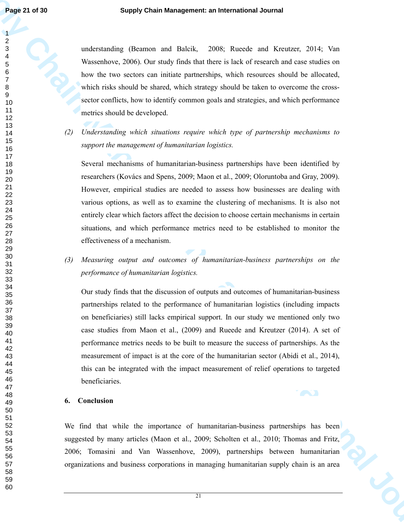understanding (Beamon and Balcik, 2008; Rueede and Kreutzer, 2014; Van Wassenhove, 2006). Our study finds that there is lack of research and case studies on how the two sectors can initiate partnerships, which resources should be allocated, which risks should be shared, which strategy should be taken to overcome the crosssector conflicts, how to identify common goals and strategies, and which performance metrics should be developed.

*(2) Understanding which situations require which type of partnership mechanisms to support the management of humanitarian logistics.* 

Several mechanisms of humanitarian-business partnerships have been identified by researchers (Kovács and Spens, 2009; Maon et al., 2009; Oloruntoba and Gray, 2009). However, empirical studies are needed to assess how businesses are dealing with various options, as well as to examine the clustering of mechanisms. It is also not entirely clear which factors affect the decision to choose certain mechanisms in certain situations, and which performance metrics need to be established to monitor the effectiveness of a mechanism.

*(3) Measuring output and outcomes of humanitarian-business partnerships on the performance of humanitarian logistics.* 

**Supply Chain Management: an International Journal Value of the Control Chain Chain Chain Compared and Chain Chain Chain Chain Chain Chain Chain Chain Chain Chain Chain Chain Chain Chain Chain Chain Chain Chain Chain Chai** Our study finds that the discussion of outputs and outcomes of humanitarian-business partnerships related to the performance of humanitarian logistics (including impacts on beneficiaries) still lacks empirical support. In our study we mentioned only two case studies from Maon et al., (2009) and Rueede and Kreutzer (2014). A set of performance metrics needs to be built to measure the success of partnerships. As the measurement of impact is at the core of the humanitarian sector (Abidi et al., 2014), this can be integrated with the impact measurement of relief operations to targeted beneficiaries.

## **6. Conclusion**

We find that while the importance of humanitarian-business partnerships has been suggested by many articles (Maon et al., 2009; Scholten et al., 2010; Thomas and Fritz, 2006; Tomasini and Van Wassenhove, 2009), partnerships between humanitarian organizations and business corporations in managing humanitarian supply chain is an area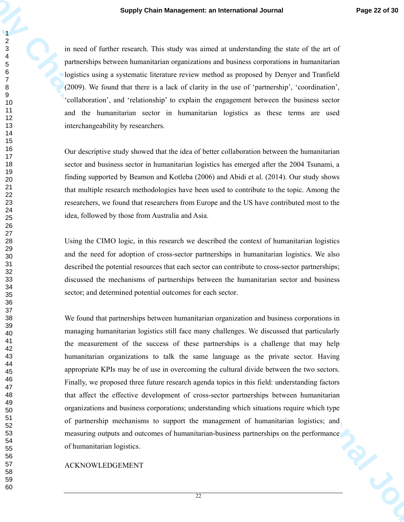in need of further research. This study was aimed at understanding the state of the art of partnerships between humanitarian organizations and business corporations in humanitarian logistics using a systematic literature review method as proposed by Denyer and Tranfield (2009). We found that there is a lack of clarity in the use of 'partnership', 'coordination', 'collaboration', and 'relationship' to explain the engagement between the business sector and the humanitarian sector in humanitarian logistics as these terms are used interchangeability by researchers.

Our descriptive study showed that the idea of better collaboration between the humanitarian sector and business sector in humanitarian logistics has emerged after the 2004 Tsunami, a finding supported by Beamon and Kotleba (2006) and Abidi et al. (2014). Our study shows that multiple research methodologies have been used to contribute to the topic. Among the researchers, we found that researchers from Europe and the US have contributed most to the idea, followed by those from Australia and Asia.

Using the CIMO logic, in this research we described the context of humanitarian logistics and the need for adoption of cross-sector partnerships in humanitarian logistics. We also described the potential resources that each sector can contribute to cross-sector partnerships; discussed the mechanisms of partnerships between the humanitarian sector and business sector; and determined potential outcomes for each sector.

**Supply Chain Management: an International Journal Page 22 et 30<br>
A monet of further reasonable this study was a model of methodine of the sum of the anti-<br>**  $\frac{2}{5}$  **monet of the study of the study contents and contents a** We found that partnerships between humanitarian organization and business corporations in managing humanitarian logistics still face many challenges. We discussed that particularly the measurement of the success of these partnerships is a challenge that may help humanitarian organizations to talk the same language as the private sector. Having appropriate KPIs may be of use in overcoming the cultural divide between the two sectors. Finally, we proposed three future research agenda topics in this field: understanding factors that affect the effective development of cross-sector partnerships between humanitarian organizations and business corporations; understanding which situations require which type of partnership mechanisms to support the management of humanitarian logistics; and measuring outputs and outcomes of humanitarian-business partnerships on the performance of humanitarian logistics.

ACKNOWLEDGEMENT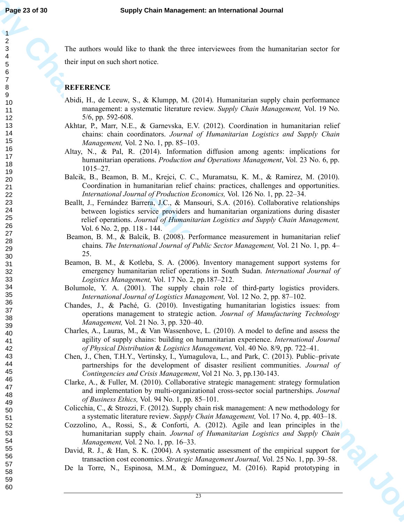The authors would like to thank the three interviewees from the humanitarian sector for their input on such short notice.

# **REFERENCE**

- Abidi, H., de Leeuw, S., & Klumpp, M. (2014). Humanitarian supply chain performance management: a systematic literature review. *Supply Chain Management,* Vol. 19 No. 5/6, pp. 592-608.
- Akhtar, P., Marr, N.E., & Garnevska, E.V. (2012). Coordination in humanitarian relief chains: chain coordinators. *Journal of Humanitarian Logistics and Supply Chain Management,* Vol. 2 No. 1, pp. 85–103.
- Altay, N., & Pal, R. (2014). Information diffusion among agents: implications for humanitarian operations. *Production and Operations Management*, Vol. 23 No. 6, pp. 1015–27.
- Balcik, B., Beamon, B. M., Krejci, C. C., Muramatsu, K. M., & Ramirez, M. (2010). Coordination in humanitarian relief chains: practices, challenges and opportunities. *International Journal of Production Economics,* Vol. 126 No. 1, pp. 22–34.
- **Fage 21 of 30**<br>
Supply Chain Management: an International Journal<br>
The radius value of the control of the properties of the base chain the base of the control of the control of the control of the control of the control o Beallt, J., Fernández Barrera, J.C., & Mansouri, S.A. (2016). Collaborative relationships between logistics service providers and humanitarian organizations during disaster relief operations. *Journal of Humanitarian Logistics and Supply Chain Management,*  Vol. 6 No. 2, pp. 118 - 144.
	- Beamon, B. M., & Balcik, B. (2008). Performance measurement in humanitarian relief chains. *The International Journal of Public Sector Management,* Vol. 21 No. 1, pp. 4– 25.
	- Beamon, B. M., & Kotleba, S. A. (2006). Inventory management support systems for emergency humanitarian relief operations in South Sudan. *International Journal of Logistics Management,* Vol. 17 No. 2, pp.187–212.
	- Bolumole, Y. A. (2001). The supply chain role of third-party logistics providers. *International Journal of Logistics Management,* Vol. 12 No. 2, pp. 87–102.
	- Chandes, J., & Paché, G. (2010). Investigating humanitarian logistics issues: from operations management to strategic action. *Journal of Manufacturing Technology Management,* Vol. 21 No. 3, pp. 320–40.
	- Charles, A., Lauras, M., & Van Wassenhove, L. (2010). A model to define and assess the agility of supply chains: building on humanitarian experience. *International Journal of Physical Distribution* & *Logistics Management,* Vol. 40 No. 8/9, pp. 722–41.
	- Chen, J., Chen, T.H.Y., Vertinsky, I., Yumagulova, L., and Park, C. (2013). Public–private partnerships for the development of disaster resilient communities. *Journal of Contingencies and Crisis Management*, Vol 21 No. 3, pp.130-143.
	- Clarke, A., & Fuller, M. (2010). Collaborative strategic management: strategy formulation and implementation by multi-organizational cross-sector social partnerships. *Journal of Business Ethics,* Vol. 94 No. 1, pp. 85–101.
	- Colicchia, C., & Strozzi, F. (2012). Supply chain risk management: A new methodology for a systematic literature review. *Supply Chain Management,* Vol. 17 No. 4, pp. 403–18.
	- Cozzolino, A., Rossi, S., & Conforti, A. (2012). Agile and lean principles in the humanitarian supply chain. *Journal of Humanitarian Logistics and Supply Chain Management,* Vol. 2 No. 1, pp. 16–33.
	- David, R. J., & Han, S. K. (2004). A systematic assessment of the empirical support for transaction cost economics. *Strategic Management Journal,* Vol. 25 No. 1, pp. 39–58.
	- De la Torre, N., Espinosa, M.M., & Domínguez, M. (2016). Rapid prototyping in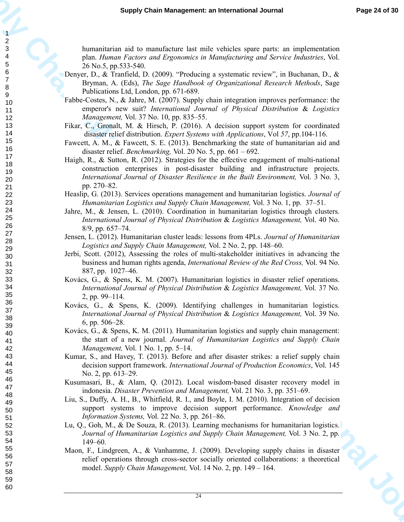humanitarian aid to manufacture last mile vehicles spare parts: an implementation plan. *Human Factors and Ergonomics in Manufacturing and Service Industries*, Vol. 26 No.5, pp.533-540.

- Denyer, D., & Tranfield, D. (2009). "Producing a systematic review", in Buchanan, D., & Bryman, A. (Eds), *The Sage Handbook of Organizational Research Methods*, Sage Publications Ltd, London, pp. 671-689.
- Fabbe-Costes, N., & Jahre, M. (2007). Supply chain integration improves performance: the emperor's new suit? *International Journal of Physical Distribution* & *Logistics Management,* Vol. 37 No. 10, pp. 835–55.
- Fikar, C., Gronalt, M. & Hirsch, P. (2016). A decision support system for coordinated disaster relief distribution. *Expert Systems with Applications*, Vol *57*, pp.104-116.
- Fawcett, A. M., & Fawcett, S. E. (2013). Benchmarking the state of humanitarian aid and disaster relief. *Benchmarking,* Vol. 20 No. 5, pp. 661 – 692.
- Supply Chain Management: an International Journal Proposition 1987<br>
Supply Chain Management: an International Journal Proposition 1987<br>
Supply Chain Management: and the variation of the variation of the symbol Chain Manage Haigh, R., & Sutton, R. (2012). Strategies for the effective engagement of multi-national construction enterprises in post-disaster building and infrastructure projects. *International Journal of Disaster Resilience in the Built Environment,* Vol. 3 No. 3, pp. 270–82.
	- Heaslip, G. (2013). Services operations management and humanitarian logistics. *Journal of Humanitarian Logistics and Supply Chain Management,* Vol. 3 No. 1, pp. 37–51.
	- Jahre, M., & Jensen, L. (2010). Coordination in humanitarian logistics through clusters. *International Journal of Physical Distribution* & *Logistics Management,* Vol. 40 No. 8/9, pp. 657–74.
	- Jensen, L. (2012). Humanitarian cluster leads: lessons from 4PLs. *Journal of Humanitarian Logistics and Supply Chain Management,* Vol. 2 No. 2, pp. 148–60.
	- Jerbi, Scott. (2012), Assessing the roles of multi-stakeholder initiatives in advancing the business and human rights agenda, *International Review of the Red Cross,* Vol. 94 No. 887, pp. 1027–46.
	- Kovács, G., & Spens, K. M. (2007). Humanitarian logistics in disaster relief operations. *International Journal of Physical Distribution* & *Logistics Management,* Vol. 37 No. 2, pp. 99–114.
	- Kovács, G., & Spens, K. (2009). Identifying challenges in humanitarian logistics. *International Journal of Physical Distribution* & *Logistics Management,* Vol. 39 No. 6, pp. 506–28.
	- Kovács, G., & Spens, K. M. (2011). Humanitarian logistics and supply chain management: the start of a new journal. *Journal of Humanitarian Logistics and Supply Chain Management,* Vol. 1 No. 1, pp. 5–14.
	- Kumar, S., and Havey, T. (2013). Before and after disaster strikes: a relief supply chain decision support framework. *International Journal of Production Economics*, Vol. 145 No. 2, pp. 613–29.
	- Kusumasari, B., & Alam, Q. (2012). Local wisdom-based disaster recovery model in indonesia. *Disaster Prevention and Management,* Vol. 21 No. 3, pp. 351–69.
	- Liu, S., Duffy, A. H., B., Whitfield, R. I., and Boyle, I. M. (2010). Integration of decision support systems to improve decision support performance. *Knowledge and Information Systems,* Vol. 22 No. 3, pp. 261–86.
	- Lu, Q., Goh, M., & De Souza, R. (2013). Learning mechanisms for humanitarian logistics. *Journal of Humanitarian Logistics and Supply Chain Management,* Vol. 3 No. 2, pp. 149–60.
	- Maon, F., Lindgreen, A., & Vanhamme, J. (2009). Developing supply chains in disaster relief operations through cross-sector socially oriented collaborations: a theoretical model. *Supply Chain Management,* Vol. 14 No. 2, pp. 149 – 164.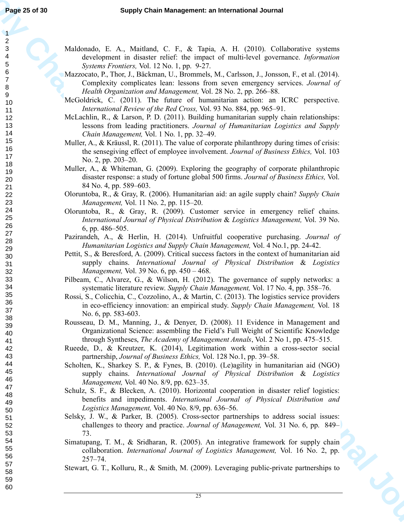Maldonado, E. A., Maitland, C. F., & Tapia, A. H. (2010). Collaborative systems development in disaster relief: the impact of multi-level governance. *Information Systems Frontiers,* Vol. 12 No. 1, pp. 9-27.

- Mazzocato, P., Thor, J., Bäckman, U., Brommels, M., Carlsson, J., Jonsson, F., et al. (2014). Complexity complicates lean: lessons from seven emergency services. *Journal of Health Organization and Management,* Vol. 28 No. 2, pp. 266–88.
- McGoldrick, C. (2011). The future of humanitarian action: an ICRC perspective. *International Review of the Red Cross,* Vol. 93 No. 884, pp. 965–91.
- McLachlin, R., & Larson, P. D. (2011). Building humanitarian supply chain relationships: lessons from leading practitioners. *Journal of Humanitarian Logistics and Supply Chain Management,* Vol. 1 No. 1, pp. 32–49.
- Muller, A., & Kräussl, R. (2011). The value of corporate philanthropy during times of crisis: the sensegiving effect of employee involvement. *Journal of Business Ethics,* Vol. 103 No. 2, pp. 203–20.
- Muller, A., & Whiteman, G. (2009). Exploring the geography of corporate philanthropic disaster response: a study of fortune global 500 firms. *Journal of Business Ethics,* Vol. 84 No. 4, pp. 589–603.
- Oloruntoba, R., & Gray, R. (2006). Humanitarian aid: an agile supply chain? *Supply Chain Management,* Vol. 11 No. 2, pp. 115–20.
- Oloruntoba, R., & Gray, R. (2009). Customer service in emergency relief chains. *International Journal of Physical Distribution* & *Logistics Management,* Vol. 39 No. 6, pp. 486–505.
- Pazirandeh, A., & Herlin, H. (2014). Unfruitful cooperative purchasing. *Journal of Humanitarian Logistics and Supply Chain Management,* Vol. 4 No.1, pp. 24-42.
- Pettit, S., & Beresford, A. (2009). Critical success factors in the context of humanitarian aid supply chains. *International Journal of Physical Distribution* & *Logistics Management,* Vol. 39 No. 6, pp. 450 – 468.
- Pilbeam, C., Alvarez, G., & Wilson, H. (2012). The governance of supply networks: a systematic literature review. *Supply Chain Management,* Vol. 17 No. 4, pp. 358–76.
- Rossi, S., Colicchia, C., Cozzolino, A., & Martin, C. (2013). The logistics service providers in eco-efficiency innovation: an empirical study. *Supply Chain Management,* Vol. 18 No. 6, pp. 583-603.
- Rousseau, D. M., Manning, J., & Denyer, D. (2008). 11 Evidence in Management and Organizational Science: assembling the Field's Full Weight of Scientific Knowledge through Syntheses, *The Academy of Management Annals*, Vol. 2 No 1, pp. 475–515.
- Rueede, D., & Kreutzer, K. (2014), Legitimation work within a cross-sector social partnership, *Journal of Business Ethics,* Vol. 128 No.1, pp. 39–58.
- Scholten, K., Sharkey S. P., & Fynes, B. (2010). (Le)agility in humanitarian aid (NGO) supply chains. *International Journal of Physical Distribution* & *Logistics Management,* Vol. 40 No. 8/9, pp. 623–35.
- Schulz, S. F., & Blecken, A. (2010). Horizontal cooperation in disaster relief logistics: benefits and impediments. *International Journal of Physical Distribution and Logistics Management,* Vol. 40 No. 8/9, pp. 636–56.
- Selsky, J. W., & Parker, B. (2005). Cross-sector partnerships to address social issues: challenges to theory and practice. *Journal of Management,* Vol. 31 No. 6, pp. 849– 73.
- Simatupang, T. M., & Sridharan, R. (2005). An integrative framework for supply chain collaboration. *International Journal of Logistics Management,* Vol. 16 No. 2, pp. 257–74.
- Stewart, G. T., Kolluru, R., & Smith, M. (2009). Leveraging public-private partnerships to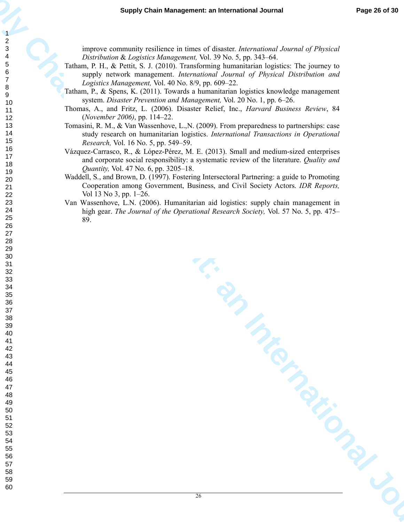improve community resilience in times of disaster. *International Journal of Physical Distribution* & *Logistics Management,* Vol. 39 No. 5, pp. 343–64.

- Tatham, P. H., & Pettit, S. J. (2010). Transforming humanitarian logistics: The journey to supply network management. *International Journal of Physical Distribution and Logistics Management,* Vol. 40 No. 8/9, pp. 609–22.
- Tatham, P., & Spens, K. (2011). Towards a humanitarian logistics knowledge management system. *Disaster Prevention and Management,* Vol. 20 No. 1, pp. 6–26.
- Thomas, A., and Fritz, L. (2006). Disaster Relief, Inc., *Harvard Business Review*, 84 (*November 2006)*, pp. 114–22.
- Tomasini, R. M., & Van Wassenhove, L.,N. (2009). From preparedness to partnerships: case study research on humanitarian logistics. *International Transactions in Operational Research,* Vol. 16 No. 5, pp. 549–59.
- Vázquez-Carrasco, R., & López-Pérez, M. E. (2013). Small and medium-sized enterprises and corporate social responsibility: a systematic review of the literature. *Quality and Quantity,* Vol. 47 No. 6, pp. 3205–18.
- Waddell, S., and Brown, D. (1997). Fostering Intersectoral Partnering: a guide to Promoting Cooperation among Government, Business, and Civil Society Actors. *IDR Reports,*  Vol 13 No 3, pp. 1–26.
- Van Wassenhove, L.N. (2006). Humanitarian aid logistics: supply chain management in high gear. *The Journal of the Operational Research Society,* Vol. 57 No. 5, pp. 475– 89.

Supply Chain Management: an International Journal Traps<br>
Supply Chain Management: an International Management: and the stress of *Physical*<br>
Theory of Chain Management (Alexandre Management Chain Management Chain Managemen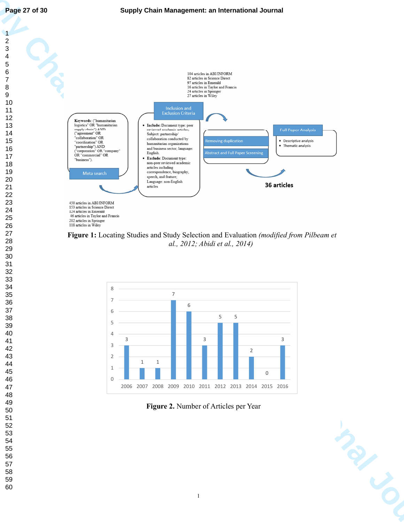



**Figure 1:** Locating Studies and Study Selection and Evaluation *(modified from Pilbeam et al., 2012; Abidi et al., 2014)* 



**Figure 2.** Number of Articles per Year

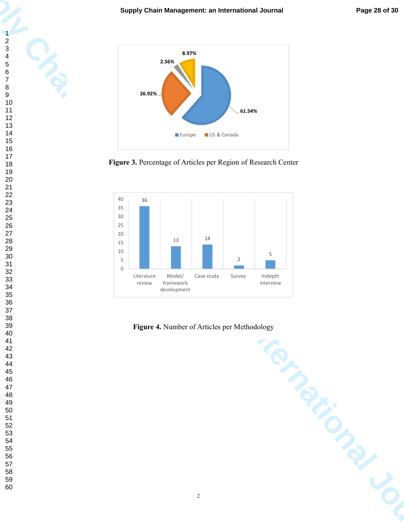







**Figure 4.** Number of Articles per Methodology

**Supplement: an International Journal**<br> **Supplement:** an International Journal<br>
Supplement: and Chain Management: and Chain Management: and Chain Management: and Chain Management: and Chain Management: and Chain Management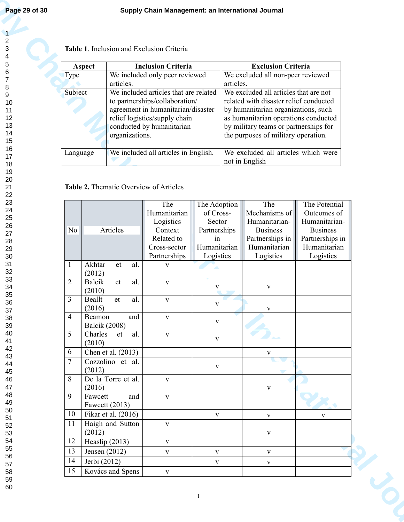| 1              |  |
|----------------|--|
|                |  |
| $\overline{c}$ |  |
|                |  |
|                |  |
|                |  |
|                |  |
|                |  |
|                |  |
|                |  |
|                |  |
|                |  |
|                |  |
|                |  |
|                |  |
|                |  |
|                |  |
|                |  |
|                |  |
|                |  |
|                |  |
|                |  |
|                |  |
|                |  |
|                |  |
|                |  |
|                |  |
|                |  |
|                |  |
|                |  |
|                |  |
|                |  |
|                |  |
|                |  |
|                |  |
|                |  |
|                |  |
|                |  |
|                |  |
|                |  |
|                |  |
|                |  |
|                |  |
|                |  |
|                |  |
|                |  |
|                |  |
|                |  |
|                |  |
|                |  |
|                |  |
|                |  |
|                |  |
|                |  |
|                |  |
|                |  |
|                |  |
|                |  |
|                |  |
|                |  |
|                |  |
|                |  |
|                |  |
|                |  |
|                |  |
|                |  |
|                |  |
|                |  |
| 40             |  |
|                |  |
| 41             |  |
| 42             |  |
|                |  |
| 43             |  |
|                |  |
| 44             |  |
| 45             |  |
|                |  |
| 46             |  |
|                |  |
| 47             |  |
|                |  |
| 48             |  |
|                |  |
| 49<br>50       |  |
|                |  |
|                |  |
| 51             |  |
| -<br>52        |  |
|                |  |
| 53             |  |
|                |  |
| 54             |  |
|                |  |
| 55             |  |
|                |  |
| 56             |  |
| 57             |  |
|                |  |
| 58             |  |
|                |  |

|  |  | <b>Table 1.</b> Inclusion and Exclusion Criteria |  |
|--|--|--------------------------------------------------|--|
|--|--|--------------------------------------------------|--|

| Aspect      | <b>Inclusion Criteria</b>             | <b>Exclusion Criteria</b>              |
|-------------|---------------------------------------|----------------------------------------|
| <b>Type</b> | We included only peer reviewed        | We excluded all non-peer reviewed      |
|             | articles.                             | articles.                              |
| Subject     | We included articles that are related | We excluded all articles that are not  |
|             | to partnerships/collaboration/        | related with disaster relief conducted |
|             | agreement in humanitarian/disaster    | by humanitarian organizations, such    |
|             | relief logistics/supply chain         | as humanitarian operations conducted   |
|             | conducted by humanitarian             | by military teams or partnerships for  |
|             | organizations.                        | the purposes of military operation.    |
|             |                                       |                                        |
| Language    | We included all articles in English.  | We excluded all articles which were    |
|             |                                       | not in English                         |

# **Table 2.** Thematic Overview of Articles

|                |                | Table 1. Inclusion and Exclusion Criteria |                                                                         |                              |                                                                |                                                                                 |                                  |
|----------------|----------------|-------------------------------------------|-------------------------------------------------------------------------|------------------------------|----------------------------------------------------------------|---------------------------------------------------------------------------------|----------------------------------|
|                | <b>Type</b>    | Aspect                                    | <b>Inclusion Criteria</b><br>We included only peer reviewed             |                              | <b>Exclusion Criteria</b><br>We excluded all non-peer reviewed |                                                                                 |                                  |
|                | articles.      |                                           |                                                                         |                              | articles.                                                      |                                                                                 |                                  |
|                | Subject        |                                           | We included articles that are related<br>to partnerships/collaboration/ |                              |                                                                | We excluded all articles that are not<br>related with disaster relief conducted |                                  |
|                |                |                                           | agreement in humanitarian/disaster                                      |                              |                                                                | by humanitarian organizations, such                                             |                                  |
|                |                |                                           | relief logistics/supply chain                                           |                              |                                                                | as humanitarian operations conducted                                            |                                  |
|                |                | organizations.                            | conducted by humanitarian                                               |                              |                                                                | by military teams or partnerships for<br>the purposes of military operation.    |                                  |
|                |                | Language                                  | We included all articles in English.                                    |                              |                                                                | We excluded all articles which were<br>not in English                           |                                  |
|                |                |                                           | The<br>Humanitarian                                                     | The Adoption<br>of Cross-    |                                                                | The<br>Mechanisms of                                                            | The Potential<br>Outcomes of     |
|                | N <sub>o</sub> | Articles                                  | Logistics<br>Context                                                    | Sector<br>Partnerships       |                                                                | Humanitarian-<br><b>Business</b>                                                | Humanitarian-<br><b>Business</b> |
|                |                |                                           | Related to                                                              | 1n                           |                                                                | Partnerships in                                                                 | Partnerships in                  |
|                |                |                                           | Cross-sector<br>Partnerships                                            | Humanitarian<br>Logistics    |                                                                | Humanitarian<br>Logistics                                                       | Humanitarian<br>Logistics        |
|                |                | Akhtar<br>$\operatorname{al.}$<br>et      | $\mathbf V$                                                             |                              |                                                                |                                                                                 |                                  |
| $\overline{2}$ |                | (2012)<br>Balcik<br>et<br>al.             | $\mathbf{V}$                                                            |                              |                                                                |                                                                                 |                                  |
| 3              |                | (2010)<br>Beallt<br>et<br>al.             |                                                                         | $\mathbf{V}$                 |                                                                | $\mathbf V$                                                                     |                                  |
|                |                | (2016)                                    | $\mathbf V$                                                             | $\mathbf{V}$                 |                                                                | $\mathbf V$                                                                     |                                  |
| $\overline{4}$ |                | Beamon<br>and<br><b>Balcik</b> (2008)     | $\mathbf{V}$                                                            | $\mathbf{V}$                 |                                                                |                                                                                 |                                  |
| 5              |                | Charles et<br>al.                         | $\mathbf{V}$                                                            | $\mathbf{V}$                 |                                                                |                                                                                 |                                  |
| 6              |                | (2010)<br>Chen et al. (2013)              |                                                                         |                              |                                                                | $\mathbf{V}$                                                                    |                                  |
| 7              |                | Cozzolino et al.                          |                                                                         | $\mathbf{V}$                 |                                                                |                                                                                 |                                  |
| 8              |                | (2012)<br>De la Torre et al.              | $\mathbf{V}$                                                            |                              |                                                                |                                                                                 |                                  |
| 9              |                | (2016)<br>Fawcett                         |                                                                         |                              |                                                                | $\mathbf{V}$                                                                    |                                  |
|                |                | and<br>Fawcett (2013)                     | $\mathbf{V}$                                                            |                              |                                                                |                                                                                 |                                  |
|                | 10             | Fikar et al. (2016)                       |                                                                         | $\mathbf{V}$                 |                                                                | $\mathbf{V}$                                                                    | $\mathbf{V}$                     |
|                |                | Haigh and Sutton<br>(2012)                | $\mathbf V$                                                             |                              |                                                                | $\mathbf V$                                                                     |                                  |
| 11             |                |                                           | $\mathbf{V}$                                                            |                              |                                                                |                                                                                 |                                  |
|                | 12             | Heaslip $(2013)$                          |                                                                         |                              |                                                                |                                                                                 |                                  |
| 13             | 14             | Jensen $(2012)$<br>Jerbi (2012)           | $\mathbf{V}$                                                            | $\mathbf{V}$<br>$\mathbf{V}$ |                                                                | $\mathbf{V}$                                                                    |                                  |